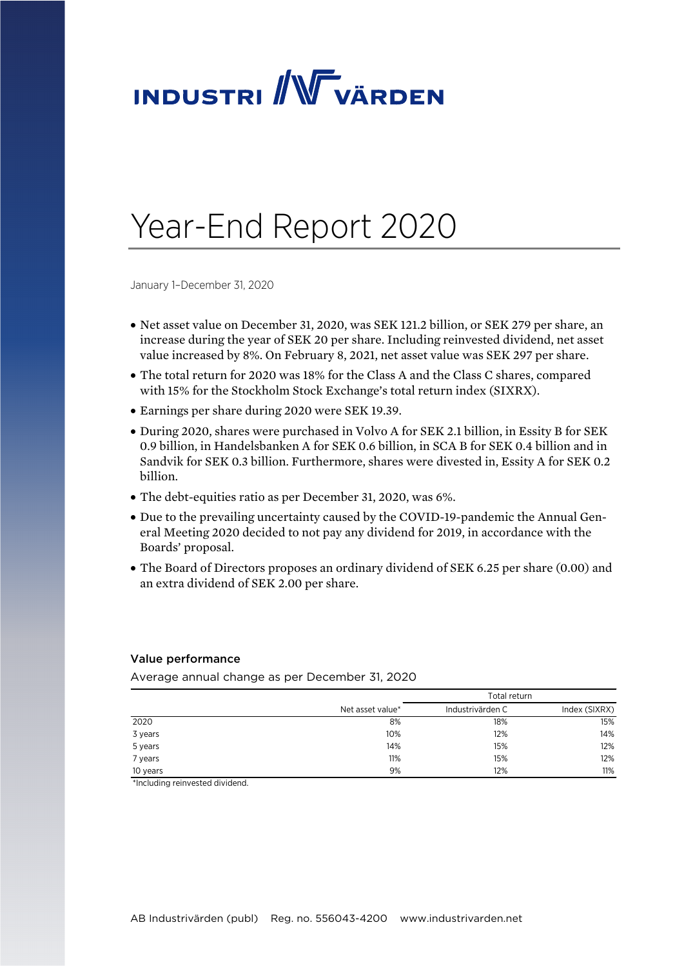

# Year-End Report 2020

January 1–December 31, 2020

- Net asset value on December 31, 2020, was SEK 121.2 billion, or SEK 279 per share, an increase during the year of SEK 20 per share. Including reinvested dividend, net asset value increased by 8%. On February 8, 2021, net asset value was SEK 297 per share.
- The total return for 2020 was 18% for the Class A and the Class C shares, compared with 15% for the Stockholm Stock Exchange's total return index (SIXRX).
- Earnings per share during 2020 were SEK 19.39.
- During 2020, shares were purchased in Volvo A for SEK 2.1 billion, in Essity B for SEK 0.9 billion, in Handelsbanken A for SEK 0.6 billion, in SCA B for SEK 0.4 billion and in Sandvik for SEK 0.3 billion. Furthermore, shares were divested in, Essity A for SEK 0.2 billion.
- The debt-equities ratio as per December 31, 2020, was 6%.
- Due to the prevailing uncertainty caused by the COVID-19-pandemic the Annual General Meeting 2020 decided to not pay any dividend for 2019, in accordance with the Boards' proposal.
- The Board of Directors proposes an ordinary dividend of SEK 6.25 per share (0.00) and an extra dividend of SEK 2.00 per share.

#### Value performance

Average annual change as per December 31, 2020

|          |                  | Total return     |               |  |
|----------|------------------|------------------|---------------|--|
|          | Net asset value* | Industrivärden C | Index (SIXRX) |  |
| 2020     | 8%               | 18%              | 15%           |  |
| 3 years  | 10%              | 12%              | 14%           |  |
| 5 years  | 14%              | 15%              | 12%           |  |
| 7 years  | 11%              | 15%              | 12%           |  |
| 10 years | 9%               | 12%              | 11%           |  |

\*Including reinvested dividend.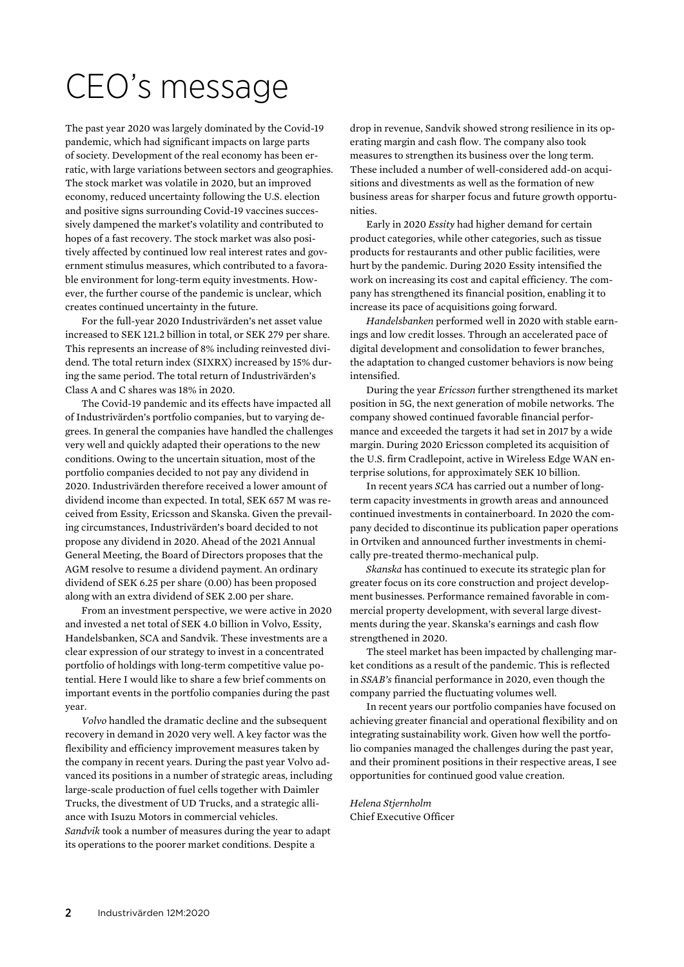# CEO's message

The past year 2020 was largely dominated by the Covid-19 pandemic, which had significant impacts on large parts of society. Development of the real economy has been erratic, with large variations between sectors and geographies. The stock market was volatile in 2020, but an improved economy, reduced uncertainty following the U.S. election and positive signs surrounding Covid-19 vaccines successively dampened the market's volatility and contributed to hopes of a fast recovery. The stock market was also positively affected by continued low real interest rates and government stimulus measures, which contributed to a favorable environment for long-term equity investments. However, the further course of the pandemic is unclear, which creates continued uncertainty in the future.

For the full-year 2020 Industrivärden's net asset value increased to SEK 121.2 billion in total, or SEK 279 per share. This represents an increase of 8% including reinvested dividend. The total return index (SIXRX) increased by 15% during the same period. The total return of Industrivärden's Class A and C shares was 18% in 2020.

The Covid-19 pandemic and its effects have impacted all of Industrivärden's portfolio companies, but to varying degrees. In general the companies have handled the challenges very well and quickly adapted their operations to the new conditions. Owing to the uncertain situation, most of the portfolio companies decided to not pay any dividend in 2020. Industrivärden therefore received a lower amount of dividend income than expected. In total, SEK 657 M was received from Essity, Ericsson and Skanska. Given the prevailing circumstances, Industrivärden's board decided to not propose any dividend in 2020. Ahead of the 2021 Annual General Meeting, the Board of Directors proposes that the AGM resolve to resume a dividend payment. An ordinary dividend of SEK 6.25 per share (0.00) has been proposed along with an extra dividend of SEK 2.00 per share.

From an investment perspective, we were active in 2020 and invested a net total of SEK 4.0 billion in Volvo, Essity, Handelsbanken, SCA and Sandvik. These investments are a clear expression of our strategy to invest in a concentrated portfolio of holdings with long-term competitive value potential. Here I would like to share a few brief comments on important events in the portfolio companies during the past year.

*Volvo* handled the dramatic decline and the subsequent recovery in demand in 2020 very well. A key factor was the flexibility and efficiency improvement measures taken by the company in recent years. During the past year Volvo advanced its positions in a number of strategic areas, including large-scale production of fuel cells together with Daimler Trucks, the divestment of UD Trucks, and a strategic alliance with Isuzu Motors in commercial vehicles. *Sandvik* took a number of measures during the year to adapt its operations to the poorer market conditions. Despite a

drop in revenue, Sandvik showed strong resilience in its operating margin and cash flow. The company also took measures to strengthen its business over the long term. These included a number of well-considered add-on acquisitions and divestments as well as the formation of new business areas for sharper focus and future growth opportunities.

Early in 2020 *Essity* had higher demand for certain product categories, while other categories, such as tissue products for restaurants and other public facilities, were hurt by the pandemic. During 2020 Essity intensified the work on increasing its cost and capital efficiency. The company has strengthened its financial position, enabling it to increase its pace of acquisitions going forward.

*Handelsbanken* performed well in 2020 with stable earnings and low credit losses. Through an accelerated pace of digital development and consolidation to fewer branches, the adaptation to changed customer behaviors is now being intensified.

During the year *Ericsson* further strengthened its market position in 5G, the next generation of mobile networks. The company showed continued favorable financial performance and exceeded the targets it had set in 2017 by a wide margin. During 2020 Ericsson completed its acquisition of the U.S. firm Cradlepoint, active in Wireless Edge WAN enterprise solutions, for approximately SEK 10 billion.

In recent years *SCA* has carried out a number of longterm capacity investments in growth areas and announced continued investments in containerboard. In 2020 the company decided to discontinue its publication paper operations in Ortviken and announced further investments in chemically pre-treated thermo-mechanical pulp.

*Skanska* has continued to execute its strategic plan for greater focus on its core construction and project development businesses. Performance remained favorable in commercial property development, with several large divestments during the year. Skanska's earnings and cash flow strengthened in 2020.

The steel market has been impacted by challenging market conditions as a result of the pandemic. This is reflected in *SSAB's* financial performance in 2020, even though the company parried the fluctuating volumes well.

In recent years our portfolio companies have focused on achieving greater financial and operational flexibility and on integrating sustainability work. Given how well the portfolio companies managed the challenges during the past year, and their prominent positions in their respective areas, I see opportunities for continued good value creation.

*Helena Stjernholm*  Chief Executive Officer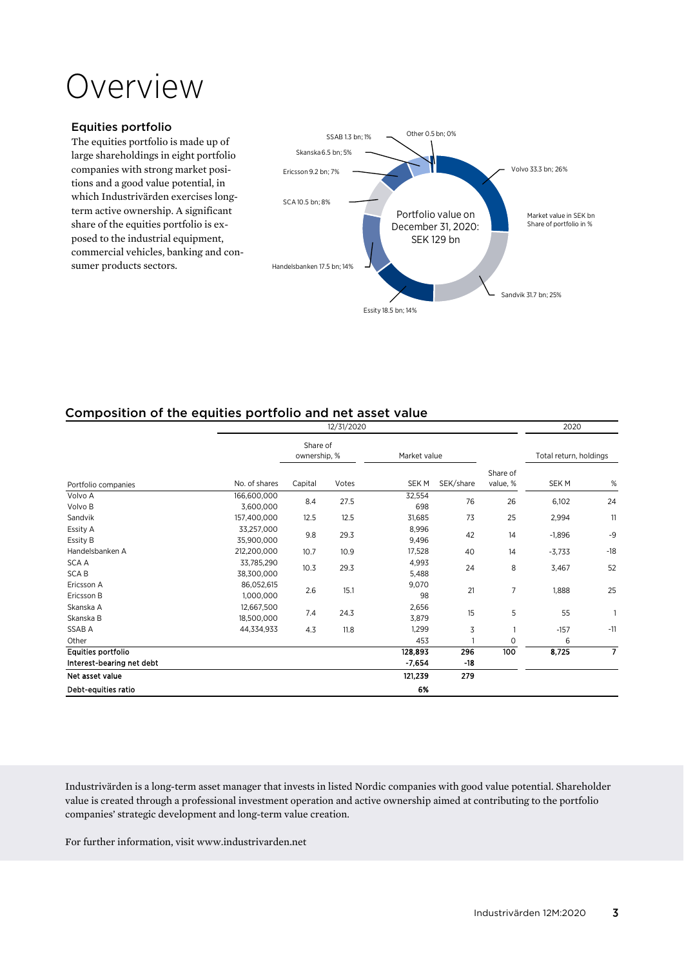# Overview

#### Equities portfolio

The equities portfolio is made up of large shareholdings in eight portfolio companies with strong market positions and a good value potential, in which Industrivärden exercises longterm active ownership. A significant share of the equities portfolio is exposed to the industrial equipment, commercial vehicles, banking and consumer products sectors.



# Composition of the equities portfolio and net asset value

| 12/31/2020                                      |                          |                          |       |                     | 2020         |                      |                        |                |
|-------------------------------------------------|--------------------------|--------------------------|-------|---------------------|--------------|----------------------|------------------------|----------------|
|                                                 |                          | Share of<br>ownership, % |       | Market value        |              |                      | Total return, holdings |                |
| Portfolio companies                             | No. of shares            | Capital                  | Votes | SEK M               | SEK/share    | Share of<br>value, % | SEK M                  | $\%$           |
| Volvo A<br>Volvo B                              | 166,600,000<br>3,600,000 | 8.4                      | 27.5  | 32,554<br>698       | 76           | 26                   | 6,102                  | 24             |
| Sandvik                                         | 157,400,000              | 12.5                     | 12.5  | 31,685              | 73           | 25                   | 2,994                  | 11             |
| Essity A<br>Essity B                            | 33,257,000<br>35,900,000 | 9.8                      | 29.3  | 8,996<br>9,496      | 42           | 14                   | $-1,896$               | $-9$           |
| Handelsbanken A                                 | 212,200,000              | 10.7                     | 10.9  | 17,528              | 40           | 14                   | $-3,733$               | $-18$          |
| <b>SCA A</b><br><b>SCAB</b>                     | 33,785,290<br>38,300,000 | 10.3                     | 29.3  | 4,993<br>5,488      | 24           | 8                    | 3,467                  | 52             |
| Ericsson A<br>Ericsson B                        | 86,052,615<br>1,000,000  | 2.6                      | 15.1  | 9,070<br>98         | 21           | 7                    | 1,888                  | 25             |
| Skanska A<br>Skanska B                          | 12,667,500<br>18,500,000 | 7.4                      | 24.3  | 2,656<br>3,879      | 15           | 5                    | 55                     | $\mathbf{1}$   |
| <b>SSABA</b>                                    | 44,334,933               | 4.3                      | 11.8  | 1,299               | 3            | 1                    | $-157$                 | $-11$          |
| Other                                           |                          |                          |       | 453                 |              | 0                    | 6                      |                |
| Equities portfolio<br>Interest-bearing net debt |                          |                          |       | 128,893<br>$-7,654$ | 296<br>$-18$ | 100                  | 8,725                  | $\overline{7}$ |
| Net asset value                                 |                          |                          |       | 121,239             | 279          |                      |                        |                |
| Debt-equities ratio                             |                          |                          |       | 6%                  |              |                      |                        |                |

Industrivärden is a long-term asset manager that invests in listed Nordic companies with good value potential. Shareholder value is created through a professional investment operation and active ownership aimed at contributing to the portfolio companies' strategic development and long-term value creation.

For further information, visit www.industrivarden.net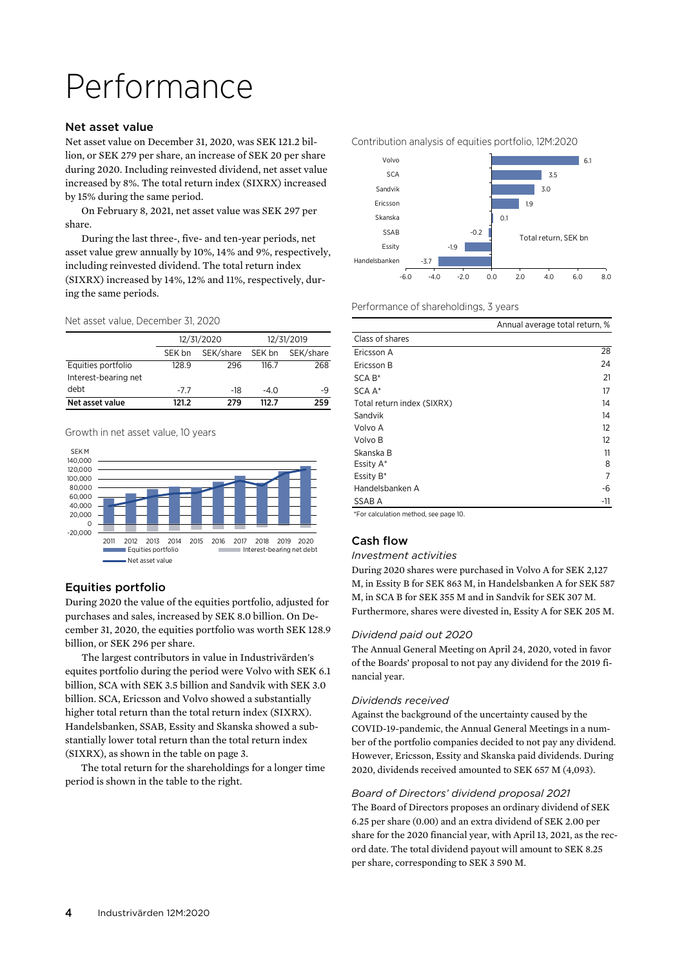# Performance

#### Net asset value

Net asset value on December 31, 2020, was SEK 121.2 billion, or SEK 279 per share, an increase of SEK 20 per share during 2020. Including reinvested dividend, net asset value increased by 8%. The total return index (SIXRX) increased by 15% during the same period.

On February 8, 2021, net asset value was SEK 297 per share.

During the last three-, five- and ten-year periods, net asset value grew annually by 10%, 14% and 9%, respectively, including reinvested dividend. The total return index (SIXRX) increased by 14%, 12% and 11%, respectively, during the same periods.

#### Net asset value, December 31, 2020

|                      |        | 12/31/2020 |        | 12/31/2019 |
|----------------------|--------|------------|--------|------------|
|                      | SEK bn | SEK/share  | SEK bn | SEK/share  |
| Equities portfolio   | 128.9  | 296        | 116.7  | 268        |
| Interest-bearing net |        |            |        |            |
| debt                 | $-7.7$ | -18        | $-4.0$ | -9         |
| Net asset value      | 121 2  | 279        | 1127   | 259        |

#### Growth in net asset value, 10 years



### Equities portfolio

During 2020 the value of the equities portfolio, adjusted for purchases and sales, increased by SEK 8.0 billion. On December 31, 2020, the equities portfolio was worth SEK 128.9 billion, or SEK 296 per share.

The largest contributors in value in Industrivärden's equites portfolio during the period were Volvo with SEK 6.1 billion, SCA with SEK 3.5 billion and Sandvik with SEK 3.0 billion. SCA, Ericsson and Volvo showed a substantially higher total return than the total return index (SIXRX). Handelsbanken, SSAB, Essity and Skanska showed a substantially lower total return than the total return index (SIXRX), as shown in the table on page 3.

 The total return for the shareholdings for a longer time period is shown in the table to the right.



#### Performance of shareholdings, 3 years

|                            | Annual average total return, % |
|----------------------------|--------------------------------|
| Class of shares            |                                |
| Ericsson A                 | 28                             |
| Ericsson B                 | 24                             |
| $SCA B*$                   | 21                             |
| SCA A*                     | 17                             |
| Total return index (SIXRX) | 14                             |
| Sandvik                    | 14                             |
| Volvo A                    | 12                             |
| Volvo B                    | 12                             |
| Skanska B                  | 11                             |
| Essity A*                  | 8                              |
| Essity B*                  | 7                              |
| Handelsbanken A            | -6                             |
| SSAB A                     | -11                            |
|                            |                                |

\*For calculation method, see page 10.

### Cash flow

#### *Investment activities*

During 2020 shares were purchased in Volvo A for SEK 2,127 M, in Essity B for SEK 863 M, in Handelsbanken A for SEK 587 M, in SCA B for SEK 355 M and in Sandvik for SEK 307 M. Furthermore, shares were divested in, Essity A for SEK 205 M.

#### *Dividend paid out 2020*

The Annual General Meeting on April 24, 2020, voted in favor of the Boards' proposal to not pay any dividend for the 2019 financial year.

#### *Dividends received*

Against the background of the uncertainty caused by the COVID-19-pandemic, the Annual General Meetings in a number of the portfolio companies decided to not pay any dividend. However, Ericsson, Essity and Skanska paid dividends. During 2020, dividends received amounted to SEK 657 M (4,093).

#### *Board of Directors' dividend proposal 2021*

The Board of Directors proposes an ordinary dividend of SEK 6.25 per share (0.00) and an extra dividend of SEK 2.00 per share for the 2020 financial year, with April 13, 2021, as the record date. The total dividend payout will amount to SEK 8.25 per share, corresponding to SEK 3 590 M.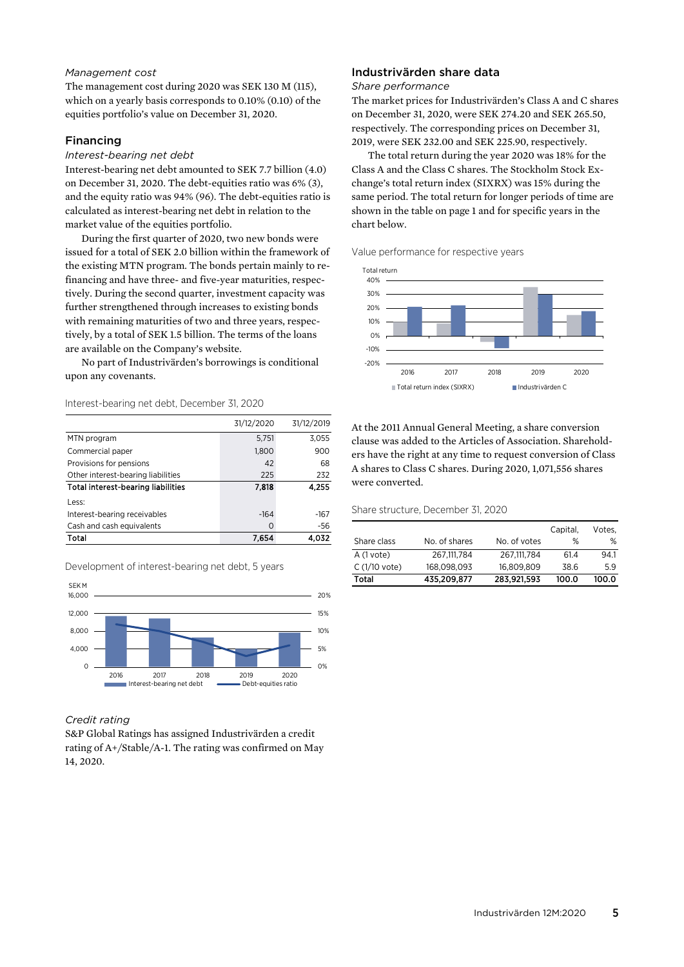#### *Management cost*

The management cost during 2020 was SEK 130 M (115), which on a yearly basis corresponds to 0.10% (0.10) of the equities portfolio's value on December 31, 2020.

#### Financing

#### *Interest-bearing net debt*

Interest-bearing net debt amounted to SEK 7.7 billion (4.0) on December 31, 2020. The debt-equities ratio was 6% (3), and the equity ratio was 94% (96). The debt-equities ratio is calculated as interest-bearing net debt in relation to the market value of the equities portfolio.

During the first quarter of 2020, two new bonds were issued for a total of SEK 2.0 billion within the framework of the existing MTN program. The bonds pertain mainly to refinancing and have three- and five-year maturities, respectively. During the second quarter, investment capacity was further strengthened through increases to existing bonds with remaining maturities of two and three years, respectively, by a total of SEK 1.5 billion. The terms of the loans are available on the Company's website.

No part of Industrivärden's borrowings is conditional upon any covenants.

#### Interest-bearing net debt, December 31, 2020

|                                           | 31/12/2020 | 31/12/2019 |
|-------------------------------------------|------------|------------|
| MTN program                               | 5,751      | 3,055      |
| Commercial paper                          | 1,800      | 900        |
| Provisions for pensions                   | 42         | 68         |
| Other interest-bearing liabilities        | 225        | 232        |
| <b>Total interest-bearing liabilities</b> | 7,818      | 4.255      |
| Less:                                     |            |            |
| Interest-bearing receivables              | $-164$     | $-167$     |
| Cash and cash equivalents                 | U          | -56        |
| Total                                     | 7.654      |            |

Development of interest-bearing net debt, 5 years



*Credit rating* 

S&P Global Ratings has assigned Industrivärden a credit rating of A+/Stable/A-1. The rating was confirmed on May 14, 2020.

#### Industrivärden share data

#### *Share performance*

The market prices for Industrivärden's Class A and C shares on December 31, 2020, were SEK 274.20 and SEK 265.50, respectively. The corresponding prices on December 31, 2019, were SEK 232.00 and SEK 225.90, respectively.

The total return during the year 2020 was 18% for the Class A and the Class C shares. The Stockholm Stock Exchange's total return index (SIXRX) was 15% during the same period. The total return for longer periods of time are shown in the table on page 1 and for specific years in the chart below.

Value performance for respective years



At the 2011 Annual General Meeting, a share conversion clause was added to the Articles of Association. Shareholders have the right at any time to request conversion of Class A shares to Class C shares. During 2020, 1,071,556 shares were converted.

#### Share structure, December 31, 2020

|                |               |              | Capital, | Votes, |
|----------------|---------------|--------------|----------|--------|
| Share class    | No. of shares | No. of votes | %        | ℅      |
| A (1 vote)     | 267.111.784   | 267.111.784  | 61.4     | 94.1   |
| $C(1/10$ vote) | 168.098.093   | 16.809.809   | 38.6     | 5.9    |
| Total          | 435,209,877   | 283,921,593  | 100.0    | 100.0  |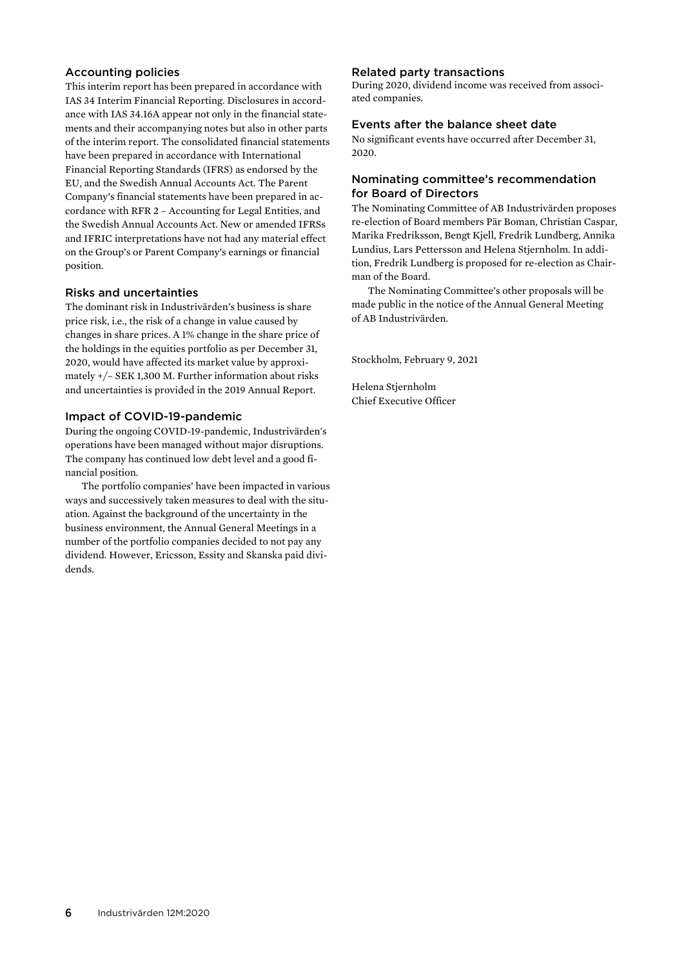#### Accounting policies

This interim report has been prepared in accordance with IAS 34 Interim Financial Reporting. Disclosures in accordance with IAS 34.16A appear not only in the financial statements and their accompanying notes but also in other parts of the interim report. The consolidated financial statements have been prepared in accordance with International Financial Reporting Standards (IFRS) as endorsed by the EU, and the Swedish Annual Accounts Act. The Parent Company's financial statements have been prepared in accordance with RFR 2 – Accounting for Legal Entities, and the Swedish Annual Accounts Act. New or amended IFRSs and IFRIC interpretations have not had any material effect on the Group's or Parent Company's earnings or financial position.

#### Risks and uncertainties

The dominant risk in Industrivärden's business is share price risk, i.e., the risk of a change in value caused by changes in share prices. A 1% change in the share price of the holdings in the equities portfolio as per December 31, 2020, would have affected its market value by approximately +/– SEK 1,300 M. Further information about risks and uncertainties is provided in the 2019 Annual Report.

#### Impact of COVID-19-pandemic

During the ongoing COVID-19-pandemic, Industrivärden's operations have been managed without major disruptions. The company has continued low debt level and a good financial position.

The portfolio companies' have been impacted in various ways and successively taken measures to deal with the situation. Against the background of the uncertainty in the business environment, the Annual General Meetings in a number of the portfolio companies decided to not pay any dividend. However, Ericsson, Essity and Skanska paid dividends.

#### Related party transactions

During 2020, dividend income was received from associated companies.

#### Events after the balance sheet date

No significant events have occurred after December 31, 2020.

#### Nominating committee's recommendation for Board of Directors

The Nominating Committee of AB Industrivärden proposes re-election of Board members Pär Boman, Christian Caspar, Marika Fredriksson, Bengt Kjell, Fredrik Lundberg, Annika Lundius, Lars Pettersson and Helena Stjernholm. In addition, Fredrik Lundberg is proposed for re-election as Chairman of the Board.

The Nominating Committee's other proposals will be made public in the notice of the Annual General Meeting of AB Industrivärden.

Stockholm, February 9, 2021

Helena Stjernholm Chief Executive Officer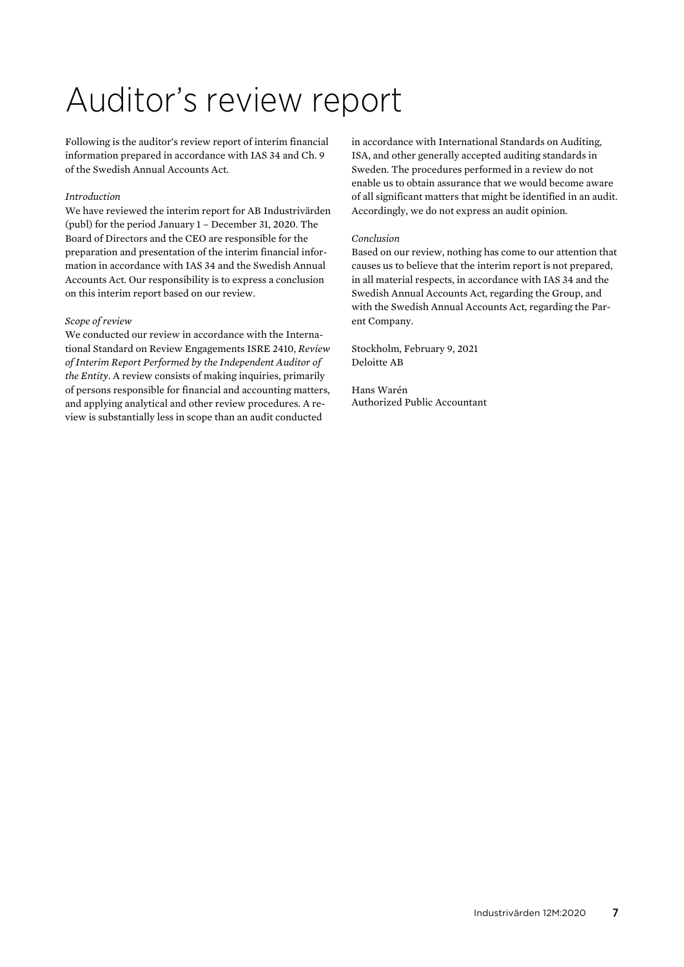# Auditor's review report

Following is the auditor's review report of interim financial information prepared in accordance with IAS 34 and Ch. 9 of the Swedish Annual Accounts Act.

#### *Introduction*

We have reviewed the interim report for AB Industrivärden (publ) for the period January 1 – December 31, 2020. The Board of Directors and the CEO are responsible for the preparation and presentation of the interim financial information in accordance with IAS 34 and the Swedish Annual Accounts Act. Our responsibility is to express a conclusion on this interim report based on our review.

#### *Scope of review*

We conducted our review in accordance with the International Standard on Review Engagements ISRE 2410, *Review of Interim Report Performed by the Independent Auditor of the Entity*. A review consists of making inquiries, primarily of persons responsible for financial and accounting matters, and applying analytical and other review procedures. A review is substantially less in scope than an audit conducted

in accordance with International Standards on Auditing, ISA, and other generally accepted auditing standards in Sweden. The procedures performed in a review do not enable us to obtain assurance that we would become aware of all significant matters that might be identified in an audit. Accordingly, we do not express an audit opinion.

#### *Conclusion*

Based on our review, nothing has come to our attention that causes us to believe that the interim report is not prepared, in all material respects, in accordance with IAS 34 and the Swedish Annual Accounts Act, regarding the Group, and with the Swedish Annual Accounts Act, regarding the Parent Company.

Stockholm, February 9, 2021 Deloitte AB

Hans Warén Authorized Public Accountant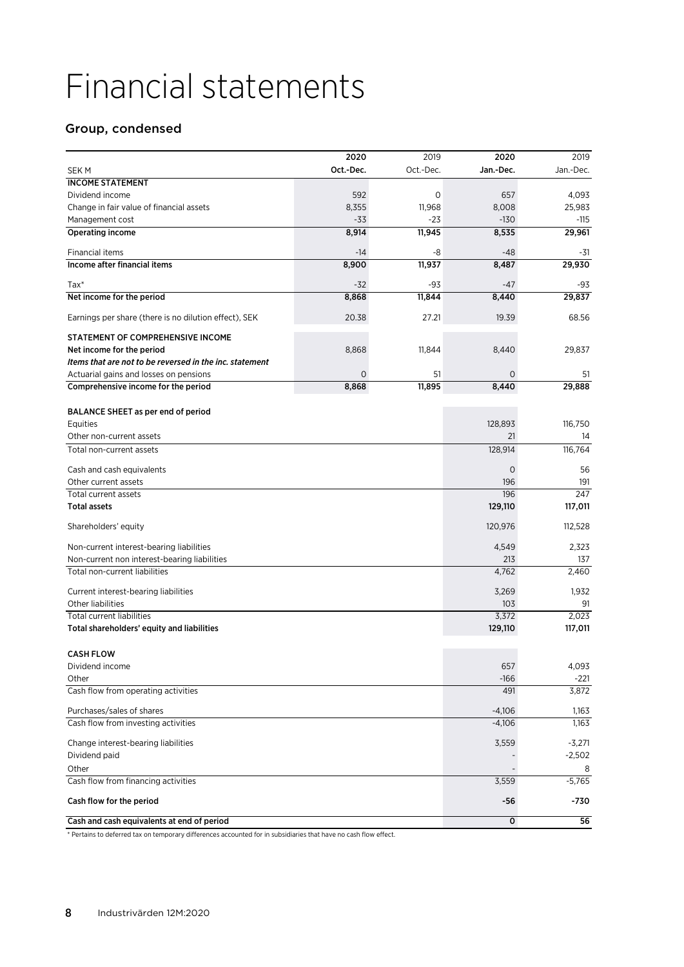# Financial statements

# Group, condensed

| Oct.-Dec.<br>Oct.-Dec.<br>Jan.-Dec.<br>Jan.-Dec.<br>SEK M<br><b>INCOME STATEMENT</b><br>Dividend income<br>592<br>0<br>657<br>4,093<br>11,968<br>25,983<br>Change in fair value of financial assets<br>8,355<br>8,008<br>$-33$<br>$-23$<br>$-130$<br>$-115$<br>Management cost<br>8,914<br>29,961<br><b>Operating income</b><br>11,945<br>8,535<br>Financial items<br>$-14$<br>-8<br>$-48$<br>-31<br>29,930<br>Income after financial items<br>8,900<br>11,937<br>8,487<br>$Tax*$<br>$-32$<br>-93<br>$-47$<br>-93<br>8,868<br>11,844<br>8,440<br>29,837<br>Net income for the period<br>68.56<br>Earnings per share (there is no dilution effect), SEK<br>20.38<br>27.21<br>19.39<br>STATEMENT OF COMPREHENSIVE INCOME<br>8,868<br>11,844<br>8,440<br>29,837<br>Net income for the period<br>Items that are not to be reversed in the inc. statement<br>$\mathsf{O}\xspace$<br>51<br>Actuarial gains and losses on pensions<br>0<br>51<br>8,868<br>11,895<br>8,440<br>29,888<br>Comprehensive income for the period<br>BALANCE SHEET as per end of period<br>128,893<br>116,750<br>Equities<br>21<br>Other non-current assets<br>14<br>116,764<br>128,914<br>Total non-current assets<br>$\mathbf 0$<br>56<br>Cash and cash equivalents<br>Other current assets<br>196<br>191<br>247<br>196<br>Total current assets<br><b>Total assets</b><br>129,110<br>117,011<br>120,976<br>112,528<br>Shareholders' equity<br>Non-current interest-bearing liabilities<br>4,549<br>2,323<br>Non-current non interest-bearing liabilities<br>213<br>137<br>4,762<br>2,460<br>Total non-current liabilities<br>Current interest-bearing liabilities<br>3,269<br>1,932<br><b>Other liabilities</b><br>103<br>91<br>2,023<br><b>Total current liabilities</b><br>3,372<br>Total shareholders' equity and liabilities<br>129,110<br>117,011<br><b>CASH FLOW</b><br>4,093<br>Dividend income<br>657<br>$-166$<br>Other<br>$-221$<br>Cash flow from operating activities<br>491<br>3,872<br>Purchases/sales of shares<br>$-4,106$<br>1,163<br>1,163<br>Cash flow from investing activities<br>$-4,106$<br>Change interest-bearing liabilities<br>3,559<br>$-3,271$<br>$-2,502$<br>Dividend paid<br>Other<br>8<br>$-5,765$<br>Cash flow from financing activities<br>3,559<br>Cash flow for the period<br>-56<br>-730<br>0<br>56<br>Cash and cash equivalents at end of period |  | 2020 | 2019 | 2020 | 2019 |
|------------------------------------------------------------------------------------------------------------------------------------------------------------------------------------------------------------------------------------------------------------------------------------------------------------------------------------------------------------------------------------------------------------------------------------------------------------------------------------------------------------------------------------------------------------------------------------------------------------------------------------------------------------------------------------------------------------------------------------------------------------------------------------------------------------------------------------------------------------------------------------------------------------------------------------------------------------------------------------------------------------------------------------------------------------------------------------------------------------------------------------------------------------------------------------------------------------------------------------------------------------------------------------------------------------------------------------------------------------------------------------------------------------------------------------------------------------------------------------------------------------------------------------------------------------------------------------------------------------------------------------------------------------------------------------------------------------------------------------------------------------------------------------------------------------------------------------------------------------------------------------------------------------------------------------------------------------------------------------------------------------------------------------------------------------------------------------------------------------------------------------------------------------------------------------------------------------------------------------------------------------------------------------------------------------------------------------------------------------|--|------|------|------|------|
|                                                                                                                                                                                                                                                                                                                                                                                                                                                                                                                                                                                                                                                                                                                                                                                                                                                                                                                                                                                                                                                                                                                                                                                                                                                                                                                                                                                                                                                                                                                                                                                                                                                                                                                                                                                                                                                                                                                                                                                                                                                                                                                                                                                                                                                                                                                                                            |  |      |      |      |      |
|                                                                                                                                                                                                                                                                                                                                                                                                                                                                                                                                                                                                                                                                                                                                                                                                                                                                                                                                                                                                                                                                                                                                                                                                                                                                                                                                                                                                                                                                                                                                                                                                                                                                                                                                                                                                                                                                                                                                                                                                                                                                                                                                                                                                                                                                                                                                                            |  |      |      |      |      |
|                                                                                                                                                                                                                                                                                                                                                                                                                                                                                                                                                                                                                                                                                                                                                                                                                                                                                                                                                                                                                                                                                                                                                                                                                                                                                                                                                                                                                                                                                                                                                                                                                                                                                                                                                                                                                                                                                                                                                                                                                                                                                                                                                                                                                                                                                                                                                            |  |      |      |      |      |
|                                                                                                                                                                                                                                                                                                                                                                                                                                                                                                                                                                                                                                                                                                                                                                                                                                                                                                                                                                                                                                                                                                                                                                                                                                                                                                                                                                                                                                                                                                                                                                                                                                                                                                                                                                                                                                                                                                                                                                                                                                                                                                                                                                                                                                                                                                                                                            |  |      |      |      |      |
|                                                                                                                                                                                                                                                                                                                                                                                                                                                                                                                                                                                                                                                                                                                                                                                                                                                                                                                                                                                                                                                                                                                                                                                                                                                                                                                                                                                                                                                                                                                                                                                                                                                                                                                                                                                                                                                                                                                                                                                                                                                                                                                                                                                                                                                                                                                                                            |  |      |      |      |      |
|                                                                                                                                                                                                                                                                                                                                                                                                                                                                                                                                                                                                                                                                                                                                                                                                                                                                                                                                                                                                                                                                                                                                                                                                                                                                                                                                                                                                                                                                                                                                                                                                                                                                                                                                                                                                                                                                                                                                                                                                                                                                                                                                                                                                                                                                                                                                                            |  |      |      |      |      |
|                                                                                                                                                                                                                                                                                                                                                                                                                                                                                                                                                                                                                                                                                                                                                                                                                                                                                                                                                                                                                                                                                                                                                                                                                                                                                                                                                                                                                                                                                                                                                                                                                                                                                                                                                                                                                                                                                                                                                                                                                                                                                                                                                                                                                                                                                                                                                            |  |      |      |      |      |
|                                                                                                                                                                                                                                                                                                                                                                                                                                                                                                                                                                                                                                                                                                                                                                                                                                                                                                                                                                                                                                                                                                                                                                                                                                                                                                                                                                                                                                                                                                                                                                                                                                                                                                                                                                                                                                                                                                                                                                                                                                                                                                                                                                                                                                                                                                                                                            |  |      |      |      |      |
|                                                                                                                                                                                                                                                                                                                                                                                                                                                                                                                                                                                                                                                                                                                                                                                                                                                                                                                                                                                                                                                                                                                                                                                                                                                                                                                                                                                                                                                                                                                                                                                                                                                                                                                                                                                                                                                                                                                                                                                                                                                                                                                                                                                                                                                                                                                                                            |  |      |      |      |      |
|                                                                                                                                                                                                                                                                                                                                                                                                                                                                                                                                                                                                                                                                                                                                                                                                                                                                                                                                                                                                                                                                                                                                                                                                                                                                                                                                                                                                                                                                                                                                                                                                                                                                                                                                                                                                                                                                                                                                                                                                                                                                                                                                                                                                                                                                                                                                                            |  |      |      |      |      |
|                                                                                                                                                                                                                                                                                                                                                                                                                                                                                                                                                                                                                                                                                                                                                                                                                                                                                                                                                                                                                                                                                                                                                                                                                                                                                                                                                                                                                                                                                                                                                                                                                                                                                                                                                                                                                                                                                                                                                                                                                                                                                                                                                                                                                                                                                                                                                            |  |      |      |      |      |
|                                                                                                                                                                                                                                                                                                                                                                                                                                                                                                                                                                                                                                                                                                                                                                                                                                                                                                                                                                                                                                                                                                                                                                                                                                                                                                                                                                                                                                                                                                                                                                                                                                                                                                                                                                                                                                                                                                                                                                                                                                                                                                                                                                                                                                                                                                                                                            |  |      |      |      |      |
|                                                                                                                                                                                                                                                                                                                                                                                                                                                                                                                                                                                                                                                                                                                                                                                                                                                                                                                                                                                                                                                                                                                                                                                                                                                                                                                                                                                                                                                                                                                                                                                                                                                                                                                                                                                                                                                                                                                                                                                                                                                                                                                                                                                                                                                                                                                                                            |  |      |      |      |      |
|                                                                                                                                                                                                                                                                                                                                                                                                                                                                                                                                                                                                                                                                                                                                                                                                                                                                                                                                                                                                                                                                                                                                                                                                                                                                                                                                                                                                                                                                                                                                                                                                                                                                                                                                                                                                                                                                                                                                                                                                                                                                                                                                                                                                                                                                                                                                                            |  |      |      |      |      |
|                                                                                                                                                                                                                                                                                                                                                                                                                                                                                                                                                                                                                                                                                                                                                                                                                                                                                                                                                                                                                                                                                                                                                                                                                                                                                                                                                                                                                                                                                                                                                                                                                                                                                                                                                                                                                                                                                                                                                                                                                                                                                                                                                                                                                                                                                                                                                            |  |      |      |      |      |
|                                                                                                                                                                                                                                                                                                                                                                                                                                                                                                                                                                                                                                                                                                                                                                                                                                                                                                                                                                                                                                                                                                                                                                                                                                                                                                                                                                                                                                                                                                                                                                                                                                                                                                                                                                                                                                                                                                                                                                                                                                                                                                                                                                                                                                                                                                                                                            |  |      |      |      |      |
|                                                                                                                                                                                                                                                                                                                                                                                                                                                                                                                                                                                                                                                                                                                                                                                                                                                                                                                                                                                                                                                                                                                                                                                                                                                                                                                                                                                                                                                                                                                                                                                                                                                                                                                                                                                                                                                                                                                                                                                                                                                                                                                                                                                                                                                                                                                                                            |  |      |      |      |      |
|                                                                                                                                                                                                                                                                                                                                                                                                                                                                                                                                                                                                                                                                                                                                                                                                                                                                                                                                                                                                                                                                                                                                                                                                                                                                                                                                                                                                                                                                                                                                                                                                                                                                                                                                                                                                                                                                                                                                                                                                                                                                                                                                                                                                                                                                                                                                                            |  |      |      |      |      |
|                                                                                                                                                                                                                                                                                                                                                                                                                                                                                                                                                                                                                                                                                                                                                                                                                                                                                                                                                                                                                                                                                                                                                                                                                                                                                                                                                                                                                                                                                                                                                                                                                                                                                                                                                                                                                                                                                                                                                                                                                                                                                                                                                                                                                                                                                                                                                            |  |      |      |      |      |
|                                                                                                                                                                                                                                                                                                                                                                                                                                                                                                                                                                                                                                                                                                                                                                                                                                                                                                                                                                                                                                                                                                                                                                                                                                                                                                                                                                                                                                                                                                                                                                                                                                                                                                                                                                                                                                                                                                                                                                                                                                                                                                                                                                                                                                                                                                                                                            |  |      |      |      |      |
|                                                                                                                                                                                                                                                                                                                                                                                                                                                                                                                                                                                                                                                                                                                                                                                                                                                                                                                                                                                                                                                                                                                                                                                                                                                                                                                                                                                                                                                                                                                                                                                                                                                                                                                                                                                                                                                                                                                                                                                                                                                                                                                                                                                                                                                                                                                                                            |  |      |      |      |      |
|                                                                                                                                                                                                                                                                                                                                                                                                                                                                                                                                                                                                                                                                                                                                                                                                                                                                                                                                                                                                                                                                                                                                                                                                                                                                                                                                                                                                                                                                                                                                                                                                                                                                                                                                                                                                                                                                                                                                                                                                                                                                                                                                                                                                                                                                                                                                                            |  |      |      |      |      |
|                                                                                                                                                                                                                                                                                                                                                                                                                                                                                                                                                                                                                                                                                                                                                                                                                                                                                                                                                                                                                                                                                                                                                                                                                                                                                                                                                                                                                                                                                                                                                                                                                                                                                                                                                                                                                                                                                                                                                                                                                                                                                                                                                                                                                                                                                                                                                            |  |      |      |      |      |
|                                                                                                                                                                                                                                                                                                                                                                                                                                                                                                                                                                                                                                                                                                                                                                                                                                                                                                                                                                                                                                                                                                                                                                                                                                                                                                                                                                                                                                                                                                                                                                                                                                                                                                                                                                                                                                                                                                                                                                                                                                                                                                                                                                                                                                                                                                                                                            |  |      |      |      |      |
|                                                                                                                                                                                                                                                                                                                                                                                                                                                                                                                                                                                                                                                                                                                                                                                                                                                                                                                                                                                                                                                                                                                                                                                                                                                                                                                                                                                                                                                                                                                                                                                                                                                                                                                                                                                                                                                                                                                                                                                                                                                                                                                                                                                                                                                                                                                                                            |  |      |      |      |      |
|                                                                                                                                                                                                                                                                                                                                                                                                                                                                                                                                                                                                                                                                                                                                                                                                                                                                                                                                                                                                                                                                                                                                                                                                                                                                                                                                                                                                                                                                                                                                                                                                                                                                                                                                                                                                                                                                                                                                                                                                                                                                                                                                                                                                                                                                                                                                                            |  |      |      |      |      |
|                                                                                                                                                                                                                                                                                                                                                                                                                                                                                                                                                                                                                                                                                                                                                                                                                                                                                                                                                                                                                                                                                                                                                                                                                                                                                                                                                                                                                                                                                                                                                                                                                                                                                                                                                                                                                                                                                                                                                                                                                                                                                                                                                                                                                                                                                                                                                            |  |      |      |      |      |
|                                                                                                                                                                                                                                                                                                                                                                                                                                                                                                                                                                                                                                                                                                                                                                                                                                                                                                                                                                                                                                                                                                                                                                                                                                                                                                                                                                                                                                                                                                                                                                                                                                                                                                                                                                                                                                                                                                                                                                                                                                                                                                                                                                                                                                                                                                                                                            |  |      |      |      |      |
|                                                                                                                                                                                                                                                                                                                                                                                                                                                                                                                                                                                                                                                                                                                                                                                                                                                                                                                                                                                                                                                                                                                                                                                                                                                                                                                                                                                                                                                                                                                                                                                                                                                                                                                                                                                                                                                                                                                                                                                                                                                                                                                                                                                                                                                                                                                                                            |  |      |      |      |      |
|                                                                                                                                                                                                                                                                                                                                                                                                                                                                                                                                                                                                                                                                                                                                                                                                                                                                                                                                                                                                                                                                                                                                                                                                                                                                                                                                                                                                                                                                                                                                                                                                                                                                                                                                                                                                                                                                                                                                                                                                                                                                                                                                                                                                                                                                                                                                                            |  |      |      |      |      |
|                                                                                                                                                                                                                                                                                                                                                                                                                                                                                                                                                                                                                                                                                                                                                                                                                                                                                                                                                                                                                                                                                                                                                                                                                                                                                                                                                                                                                                                                                                                                                                                                                                                                                                                                                                                                                                                                                                                                                                                                                                                                                                                                                                                                                                                                                                                                                            |  |      |      |      |      |
|                                                                                                                                                                                                                                                                                                                                                                                                                                                                                                                                                                                                                                                                                                                                                                                                                                                                                                                                                                                                                                                                                                                                                                                                                                                                                                                                                                                                                                                                                                                                                                                                                                                                                                                                                                                                                                                                                                                                                                                                                                                                                                                                                                                                                                                                                                                                                            |  |      |      |      |      |
|                                                                                                                                                                                                                                                                                                                                                                                                                                                                                                                                                                                                                                                                                                                                                                                                                                                                                                                                                                                                                                                                                                                                                                                                                                                                                                                                                                                                                                                                                                                                                                                                                                                                                                                                                                                                                                                                                                                                                                                                                                                                                                                                                                                                                                                                                                                                                            |  |      |      |      |      |
|                                                                                                                                                                                                                                                                                                                                                                                                                                                                                                                                                                                                                                                                                                                                                                                                                                                                                                                                                                                                                                                                                                                                                                                                                                                                                                                                                                                                                                                                                                                                                                                                                                                                                                                                                                                                                                                                                                                                                                                                                                                                                                                                                                                                                                                                                                                                                            |  |      |      |      |      |
|                                                                                                                                                                                                                                                                                                                                                                                                                                                                                                                                                                                                                                                                                                                                                                                                                                                                                                                                                                                                                                                                                                                                                                                                                                                                                                                                                                                                                                                                                                                                                                                                                                                                                                                                                                                                                                                                                                                                                                                                                                                                                                                                                                                                                                                                                                                                                            |  |      |      |      |      |
|                                                                                                                                                                                                                                                                                                                                                                                                                                                                                                                                                                                                                                                                                                                                                                                                                                                                                                                                                                                                                                                                                                                                                                                                                                                                                                                                                                                                                                                                                                                                                                                                                                                                                                                                                                                                                                                                                                                                                                                                                                                                                                                                                                                                                                                                                                                                                            |  |      |      |      |      |
|                                                                                                                                                                                                                                                                                                                                                                                                                                                                                                                                                                                                                                                                                                                                                                                                                                                                                                                                                                                                                                                                                                                                                                                                                                                                                                                                                                                                                                                                                                                                                                                                                                                                                                                                                                                                                                                                                                                                                                                                                                                                                                                                                                                                                                                                                                                                                            |  |      |      |      |      |
|                                                                                                                                                                                                                                                                                                                                                                                                                                                                                                                                                                                                                                                                                                                                                                                                                                                                                                                                                                                                                                                                                                                                                                                                                                                                                                                                                                                                                                                                                                                                                                                                                                                                                                                                                                                                                                                                                                                                                                                                                                                                                                                                                                                                                                                                                                                                                            |  |      |      |      |      |
|                                                                                                                                                                                                                                                                                                                                                                                                                                                                                                                                                                                                                                                                                                                                                                                                                                                                                                                                                                                                                                                                                                                                                                                                                                                                                                                                                                                                                                                                                                                                                                                                                                                                                                                                                                                                                                                                                                                                                                                                                                                                                                                                                                                                                                                                                                                                                            |  |      |      |      |      |
|                                                                                                                                                                                                                                                                                                                                                                                                                                                                                                                                                                                                                                                                                                                                                                                                                                                                                                                                                                                                                                                                                                                                                                                                                                                                                                                                                                                                                                                                                                                                                                                                                                                                                                                                                                                                                                                                                                                                                                                                                                                                                                                                                                                                                                                                                                                                                            |  |      |      |      |      |
|                                                                                                                                                                                                                                                                                                                                                                                                                                                                                                                                                                                                                                                                                                                                                                                                                                                                                                                                                                                                                                                                                                                                                                                                                                                                                                                                                                                                                                                                                                                                                                                                                                                                                                                                                                                                                                                                                                                                                                                                                                                                                                                                                                                                                                                                                                                                                            |  |      |      |      |      |
|                                                                                                                                                                                                                                                                                                                                                                                                                                                                                                                                                                                                                                                                                                                                                                                                                                                                                                                                                                                                                                                                                                                                                                                                                                                                                                                                                                                                                                                                                                                                                                                                                                                                                                                                                                                                                                                                                                                                                                                                                                                                                                                                                                                                                                                                                                                                                            |  |      |      |      |      |
|                                                                                                                                                                                                                                                                                                                                                                                                                                                                                                                                                                                                                                                                                                                                                                                                                                                                                                                                                                                                                                                                                                                                                                                                                                                                                                                                                                                                                                                                                                                                                                                                                                                                                                                                                                                                                                                                                                                                                                                                                                                                                                                                                                                                                                                                                                                                                            |  |      |      |      |      |
|                                                                                                                                                                                                                                                                                                                                                                                                                                                                                                                                                                                                                                                                                                                                                                                                                                                                                                                                                                                                                                                                                                                                                                                                                                                                                                                                                                                                                                                                                                                                                                                                                                                                                                                                                                                                                                                                                                                                                                                                                                                                                                                                                                                                                                                                                                                                                            |  |      |      |      |      |
|                                                                                                                                                                                                                                                                                                                                                                                                                                                                                                                                                                                                                                                                                                                                                                                                                                                                                                                                                                                                                                                                                                                                                                                                                                                                                                                                                                                                                                                                                                                                                                                                                                                                                                                                                                                                                                                                                                                                                                                                                                                                                                                                                                                                                                                                                                                                                            |  |      |      |      |      |
|                                                                                                                                                                                                                                                                                                                                                                                                                                                                                                                                                                                                                                                                                                                                                                                                                                                                                                                                                                                                                                                                                                                                                                                                                                                                                                                                                                                                                                                                                                                                                                                                                                                                                                                                                                                                                                                                                                                                                                                                                                                                                                                                                                                                                                                                                                                                                            |  |      |      |      |      |
|                                                                                                                                                                                                                                                                                                                                                                                                                                                                                                                                                                                                                                                                                                                                                                                                                                                                                                                                                                                                                                                                                                                                                                                                                                                                                                                                                                                                                                                                                                                                                                                                                                                                                                                                                                                                                                                                                                                                                                                                                                                                                                                                                                                                                                                                                                                                                            |  |      |      |      |      |

\* Pertains to deferred tax on temporary differences accounted for in subsidiaries that have no cash flow effect.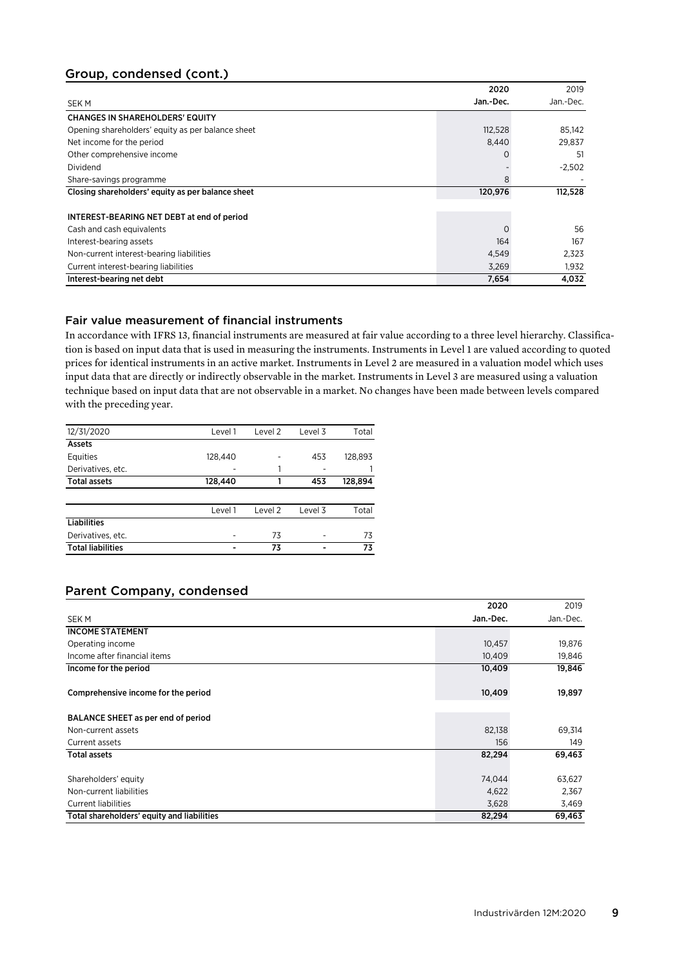# Group, condensed (cont.)

|                                                   | 2020      | 2019      |
|---------------------------------------------------|-----------|-----------|
| <b>SEKM</b>                                       | Jan.-Dec. | Jan.-Dec. |
| <b>CHANGES IN SHAREHOLDERS' EQUITY</b>            |           |           |
| Opening shareholders' equity as per balance sheet | 112,528   | 85,142    |
| Net income for the period                         | 8,440     | 29,837    |
| Other comprehensive income                        | $\Omega$  | 51        |
| Dividend                                          |           | $-2,502$  |
| Share-savings programme                           | 8         |           |
| Closing shareholders' equity as per balance sheet | 120,976   | 112,528   |
|                                                   |           |           |
| INTEREST-BEARING NET DEBT at end of period        |           |           |
| Cash and cash equivalents                         |           | 56        |
| Interest-bearing assets                           | 164       | 167       |
| Non-current interest-bearing liabilities          | 4,549     | 2,323     |
| Current interest-bearing liabilities              | 3,269     | 1,932     |
| Interest-bearing net debt                         | 7,654     | 4,032     |

# Fair value measurement of financial instruments

In accordance with IFRS 13, financial instruments are measured at fair value according to a three level hierarchy. Classification is based on input data that is used in measuring the instruments. Instruments in Level 1 are valued according to quoted prices for identical instruments in an active market. Instruments in Level 2 are measured in a valuation model which uses input data that are directly or indirectly observable in the market. Instruments in Level 3 are measured using a valuation technique based on input data that are not observable in a market. No changes have been made between levels compared with the preceding year.

| 12/31/2020               | Level 1 | Level 2 | Level 3 | Total   |
|--------------------------|---------|---------|---------|---------|
| Assets                   |         |         |         |         |
| Equities                 | 128,440 |         | 453     | 128,893 |
| Derivatives, etc.        |         |         |         |         |
| <b>Total assets</b>      | 128,440 |         | 453     | 128,894 |
|                          |         |         |         |         |
|                          | Level 1 | Level 2 | Level 3 | Total   |
| <b>Liabilities</b>       |         |         |         |         |
| Derivatives, etc.        |         | 73      | ۰       | 73      |
| <b>Total liabilities</b> |         | 73      |         | 73      |

# Parent Company, condensed

|                                            | 2020      | 2019      |
|--------------------------------------------|-----------|-----------|
| <b>SEKM</b>                                | Jan.-Dec. | Jan.-Dec. |
| <b>INCOME STATEMENT</b>                    |           |           |
| Operating income                           | 10,457    | 19,876    |
| Income after financial items               | 10,409    | 19,846    |
| Income for the period                      | 10,409    | 19,846    |
| Comprehensive income for the period        | 10,409    | 19,897    |
| BALANCE SHEET as per end of period         |           |           |
| Non-current assets                         | 82,138    | 69,314    |
| Current assets                             | 156       | 149       |
| <b>Total assets</b>                        | 82,294    | 69,463    |
| Shareholders' equity                       | 74,044    | 63,627    |
| Non-current liabilities                    | 4,622     | 2,367     |
| <b>Current liabilities</b>                 | 3,628     | 3,469     |
| Total shareholders' equity and liabilities | 82,294    | 69,463    |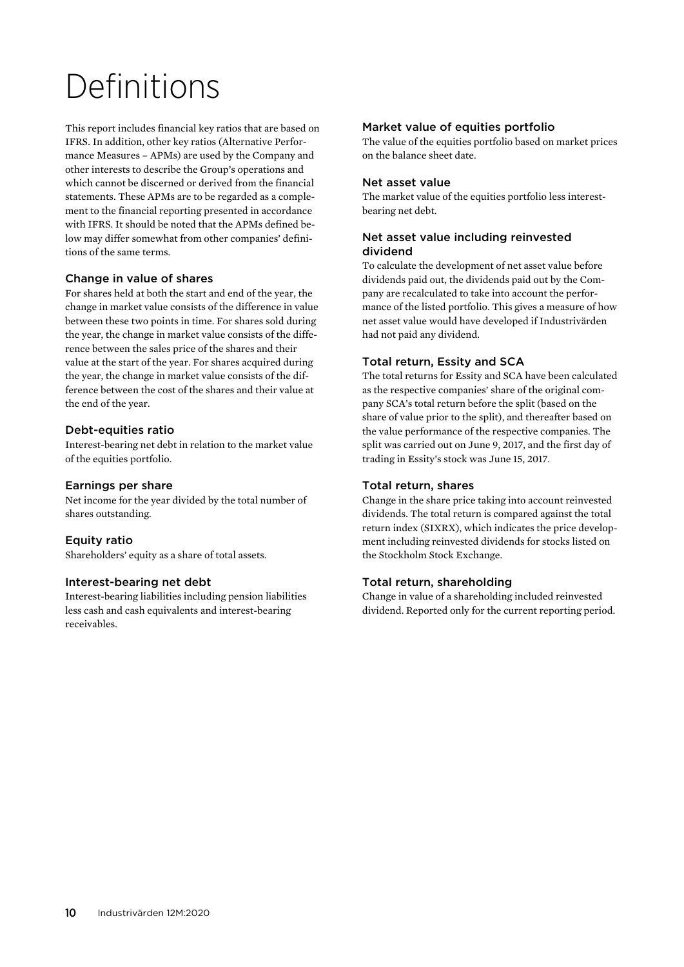# Definitions

This report includes financial key ratios that are based on IFRS. In addition, other key ratios (Alternative Performance Measures – APMs) are used by the Company and other interests to describe the Group's operations and which cannot be discerned or derived from the financial statements. These APMs are to be regarded as a complement to the financial reporting presented in accordance with IFRS. It should be noted that the APMs defined below may differ somewhat from other companies' definitions of the same terms.

### Change in value of shares

For shares held at both the start and end of the year, the change in market value consists of the difference in value between these two points in time. For shares sold during the year, the change in market value consists of the difference between the sales price of the shares and their value at the start of the year. For shares acquired during the year, the change in market value consists of the difference between the cost of the shares and their value at the end of the year.

### Debt-equities ratio

Interest-bearing net debt in relation to the market value of the equities portfolio.

#### Earnings per share

Net income for the year divided by the total number of shares outstanding.

### Equity ratio

Shareholders' equity as a share of total assets.

#### Interest-bearing net debt

Interest-bearing liabilities including pension liabilities less cash and cash equivalents and interest-bearing receivables.

#### Market value of equities portfolio

The value of the equities portfolio based on market prices on the balance sheet date.

#### Net asset value

The market value of the equities portfolio less interestbearing net debt.

### Net asset value including reinvested dividend

To calculate the development of net asset value before dividends paid out, the dividends paid out by the Company are recalculated to take into account the performance of the listed portfolio. This gives a measure of how net asset value would have developed if Industrivärden had not paid any dividend.

### Total return, Essity and SCA

The total returns for Essity and SCA have been calculated as the respective companies' share of the original company SCA's total return before the split (based on the share of value prior to the split), and thereafter based on the value performance of the respective companies. The split was carried out on June 9, 2017, and the first day of trading in Essity's stock was June 15, 2017.

#### Total return, shares

Change in the share price taking into account reinvested dividends. The total return is compared against the total return index (SIXRX), which indicates the price development including reinvested dividends for stocks listed on the Stockholm Stock Exchange.

#### Total return, shareholding

Change in value of a shareholding included reinvested dividend. Reported only for the current reporting period.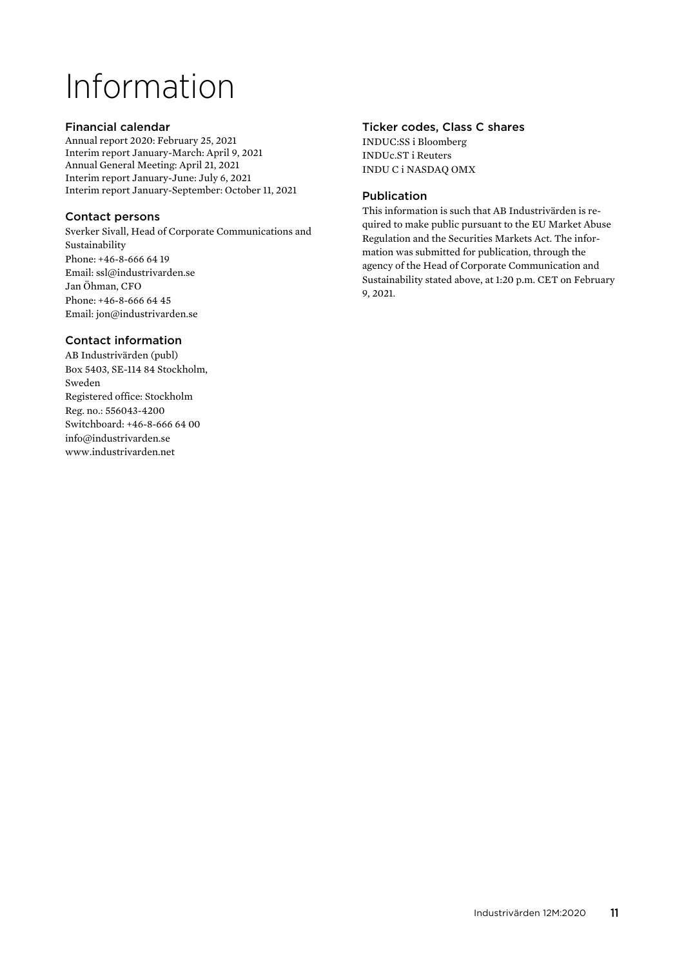# Information

### Financial calendar

Annual report 2020: February 25, 2021 Interim report January-March: April 9, 2021 Annual General Meeting: April 21, 2021 Interim report January-June: July 6, 2021 Interim report January-September: October 11, 2021

# Contact persons

Sverker Sivall, Head of Corporate Communications and Sustainability Phone: +46-8-666 64 19 Email: ssl@industrivarden.se Jan Öhman, CFO Phone: +46-8-666 64 45 Email: jon@industrivarden.se

## Contact information

AB Industrivärden (publ) Box 5403, SE-114 84 Stockholm, Sweden Registered office: Stockholm Reg. no.: 556043-4200 Switchboard: +46-8-666 64 00 info@industrivarden.se www.industrivarden.net

## Ticker codes, Class C shares

INDUC:SS i Bloomberg INDUc.ST i Reuters INDU C i NASDAQ OMX

## Publication

This information is such that AB Industrivärden is required to make public pursuant to the EU Market Abuse Regulation and the Securities Markets Act. The information was submitted for publication, through the agency of the Head of Corporate Communication and Sustainability stated above, at 1:20 p.m. CET on February 9, 2021.